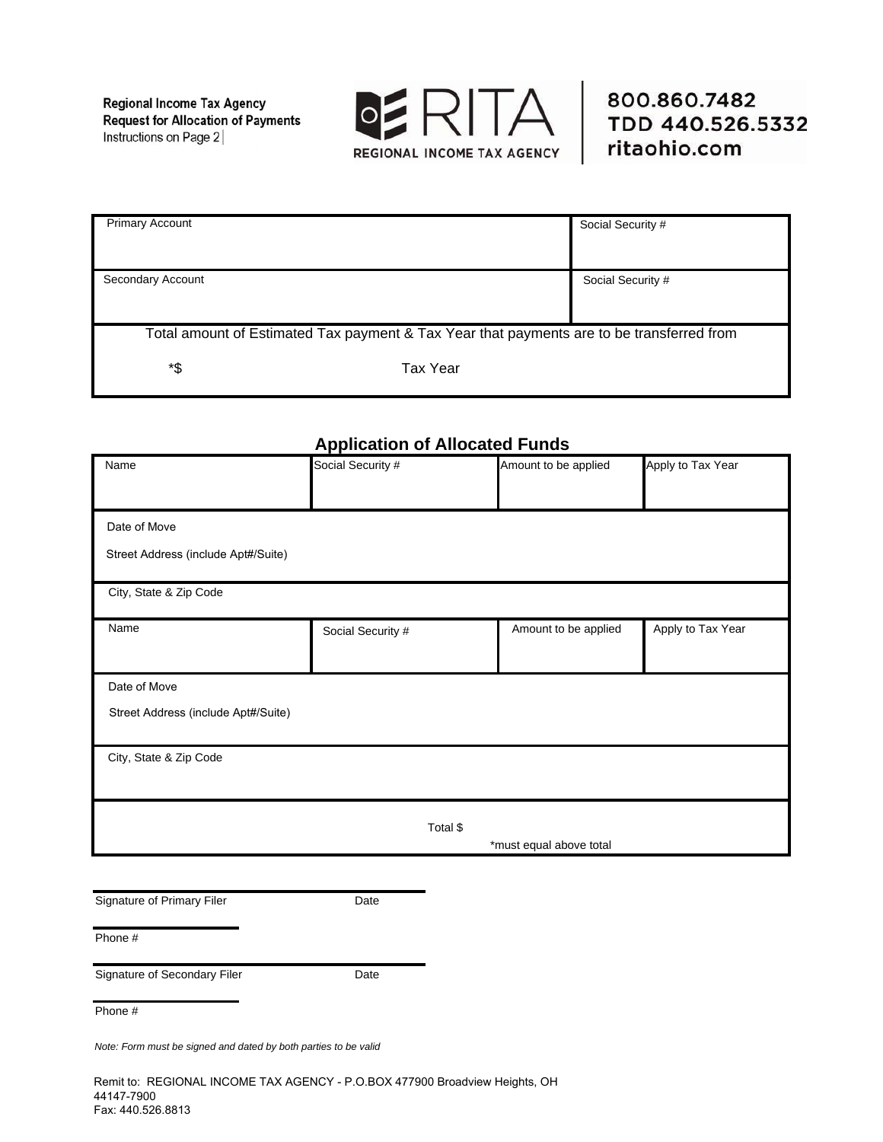**Regional Income Tax Agency Request for Allocation of Payments** Instructions on Page 2



| <b>Primary Account</b>                                                                    |          | Social Security # |  |  |
|-------------------------------------------------------------------------------------------|----------|-------------------|--|--|
|                                                                                           |          |                   |  |  |
|                                                                                           |          |                   |  |  |
| Secondary Account                                                                         |          | Social Security # |  |  |
|                                                                                           |          |                   |  |  |
|                                                                                           |          |                   |  |  |
| Total amount of Estimated Tax payment & Tax Year that payments are to be transferred from |          |                   |  |  |
|                                                                                           |          |                   |  |  |
| *\$                                                                                       | Tax Year |                   |  |  |
|                                                                                           |          |                   |  |  |

## **Application of Allocated Funds**

| Name                                | Social Security # |          | Amount to be applied    | Apply to Tax Year |
|-------------------------------------|-------------------|----------|-------------------------|-------------------|
|                                     |                   |          |                         |                   |
| Date of Move                        |                   |          |                         |                   |
| Street Address (include Apt#/Suite) |                   |          |                         |                   |
| City, State & Zip Code              |                   |          |                         |                   |
| Name                                | Social Security # |          | Amount to be applied    | Apply to Tax Year |
| Date of Move                        |                   |          |                         |                   |
| Street Address (include Apt#/Suite) |                   |          |                         |                   |
| City, State & Zip Code              |                   |          |                         |                   |
|                                     |                   |          |                         |                   |
|                                     |                   | Total \$ |                         |                   |
|                                     |                   |          | *must equal above total |                   |
|                                     |                   |          |                         |                   |
| Signature of Primary Filer          | Date              |          |                         |                   |

Phone #

Signature of Secondary Filer **Date** 

Phone #

*Note: Form must be signed and dated by both parties to be valid* 

Remit to: REGIONAL INCOME TAX AGENCY - P.O.BOX 477900 Broadview Heights, OH 44147-7900 Fax: 440.526.8813